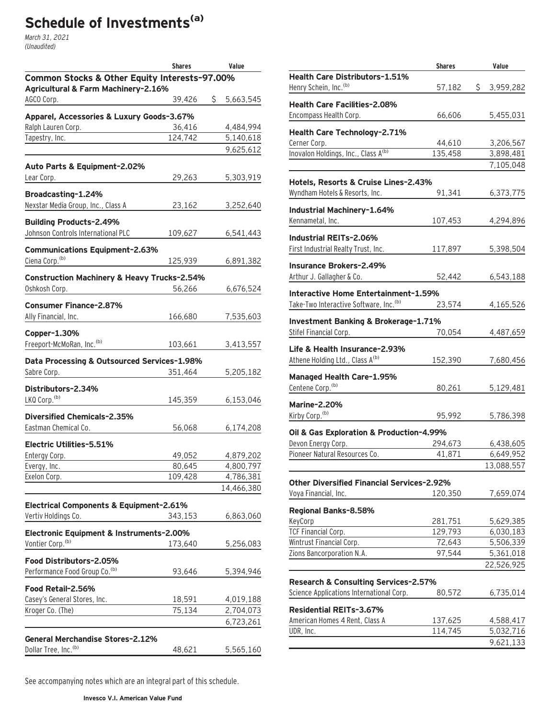# **Schedule of Investments(a)**

March 31, 2021 (Unaudited)

|                                                                                      | <b>Shares</b> | Value           |  |  |  |
|--------------------------------------------------------------------------------------|---------------|-----------------|--|--|--|
| Common Stocks & Other Equity Interests-97.00%<br>Agricultural & Farm Machinery-2.16% |               |                 |  |  |  |
| AGCO Corp.                                                                           | 39,426        | \$<br>5,663,545 |  |  |  |
| Apparel, Accessories & Luxury Goods-3.67%                                            |               |                 |  |  |  |
| Ralph Lauren Corp.                                                                   | 36,416        | 4,484,994       |  |  |  |
| Tapestry, Inc.                                                                       | 124,742       | 5,140,618       |  |  |  |
|                                                                                      |               | 9,625,612       |  |  |  |
| Auto Parts & Equipment-2.02%                                                         |               |                 |  |  |  |
| Lear Corp.                                                                           | 29,263        | 5,303,919       |  |  |  |
| Broadcasting-1.24%                                                                   |               |                 |  |  |  |
| Nexstar Media Group, Inc., Class A                                                   | 23,162        | 3,252,640       |  |  |  |
| <b>Building Products-2.49%</b>                                                       |               |                 |  |  |  |
| Johnson Controls International PLC                                                   | 109,627       | 6,541,443       |  |  |  |
| <b>Communications Equipment-2.63%</b>                                                |               |                 |  |  |  |
| Ciena Corp. <sup>(b)</sup>                                                           | 125,939       | 6,891,382       |  |  |  |
| <b>Construction Machinery &amp; Heavy Trucks-2.54%</b>                               |               |                 |  |  |  |
| Oshkosh Corp.                                                                        | 56,266        | 6,676,524       |  |  |  |
|                                                                                      |               |                 |  |  |  |
| <b>Consumer Finance-2.87%</b><br>Ally Financial, Inc.                                | 166,680       | 7,535,603       |  |  |  |
|                                                                                      |               |                 |  |  |  |
| Copper-1.30%                                                                         |               |                 |  |  |  |
| Freeport-McMoRan, Inc. <sup>(b)</sup>                                                | 103,661       | 3,413,557       |  |  |  |
| Data Processing & Outsourced Services-1.98%                                          |               |                 |  |  |  |
| Sabre Corp.                                                                          | 351,464       | 5,205,182       |  |  |  |
| Distributors-2.34%                                                                   |               |                 |  |  |  |
| LKQ Corp. <sup>(b)</sup>                                                             | 145,359       | 6,153,046       |  |  |  |
| <b>Diversified Chemicals-2.35%</b>                                                   |               |                 |  |  |  |
| Eastman Chemical Co.                                                                 | 56,068        | 6,174,208       |  |  |  |
| Electric Utilities-5.51%                                                             |               |                 |  |  |  |
| Entergy Corp.                                                                        | 49,052        | 4,879,202       |  |  |  |
| Evergy, Inc.                                                                         | 80,645        | 4,800,797       |  |  |  |
| Exelon Corp.                                                                         | 109,428       | 4,786,381       |  |  |  |
|                                                                                      |               | 14,466,380      |  |  |  |
| <b>Electrical Components &amp; Equipment-2.61%</b>                                   |               |                 |  |  |  |
| Vertiv Holdings Co.                                                                  | 343,153       | 6,863,060       |  |  |  |
| Electronic Equipment & Instruments-2.00%                                             |               |                 |  |  |  |
| Vontier Corp. <sup>(b)</sup>                                                         | 173,640       | 5,256,083       |  |  |  |
| Food Distributors-2.05%                                                              |               |                 |  |  |  |
| Performance Food Group Co. <sup>(b)</sup>                                            | 93,646        | 5,394,946       |  |  |  |
| Food Retail-2.56%                                                                    |               |                 |  |  |  |
| Casey's General Stores, Inc.                                                         | 18,591        | 4,019,188       |  |  |  |
| Kroger Co. (The)                                                                     | 75,134        | 2,704,073       |  |  |  |
|                                                                                      |               | 6,723,261       |  |  |  |
|                                                                                      |               |                 |  |  |  |
| <b>General Merchandise Stores-2.12%</b><br>Dollar Tree, Inc. <sup>(b)</sup>          | 48,621        | 5,565,160       |  |  |  |
|                                                                                      |               |                 |  |  |  |

**Shares Value Health Care Distributors–1.51%** Henry Schein, Inc.<sup>(b)</sup> 57,182 \$ 3,959,282 **Health Care Facilities–2.08%** Encompass Health Corp. 66,606 5,455,031 **Health Care Technology–2.71%** Cerner Corp. 2,206,567 Inovalon Holdings, Inc., Class  $A^{(b)}$  135,458 3,898,481 7,105,048 **Hotels, Resorts & Cruise Lines–2.43%** Wyndham Hotels & Resorts, Inc. 91,341 6,373,775 **Industrial Machinery–1.64%** Kennametal, Inc. 107,453 4,294,896 **Industrial REITs–2.06%** First Industrial Realty Trust, Inc. 117,897 5,398,504 **Insurance Brokers–2.49%** Arthur J. Gallagher & Co. 52,442 6,543,188 **Interactive Home Entertainment–1.59%** Take-Two Interactive Software, Inc.<sup>(b)</sup> 23,574 4,165,526 **Investment Banking & Brokerage–1.71%** Stifel Financial Corp. 2000 2010 70,054 4,487,659 **Life & Health Insurance–2.93%** Athene Holding Ltd., Class A<sup>(b)</sup> 152,390 7,680,456 **Managed Health Care–1.95%** Centene Corp.<sup>(b)</sup> 80,261 5,129,481 **Marine–2.20%** Kirby Corp.<sup>(b)</sup> 95,992 5,786,398 **Oil & Gas Exploration & Production–4.99%** Devon Energy Corp. 294,673 6,438,605 Pioneer Natural Resources Co. 41,871 6,649,952 13,088,557 **Other Diversified Financial Services–2.92%** Voya Financial, Inc. 120,350 7,659,074 **Regional Banks–8.58%** KeyCorp 281,751 5,629,385 TCF Financial Corp. 129,793 6,030,183 Wintrust Financial Corp. 72,643 5,506,339 Zions Bancorporation N.A. 97,544 5,361,018 22,526,925 **Research & Consulting Services–2.57%** Science Applications International Corp. 80,572 6,735,014 **Residential REITs–3.67%** American Homes 4 Rent, Class A 137,625 4,588,417 UDR, Inc. 6. 114,745 5,032,716 9,621,133

See accompanying notes which are an integral part of this schedule.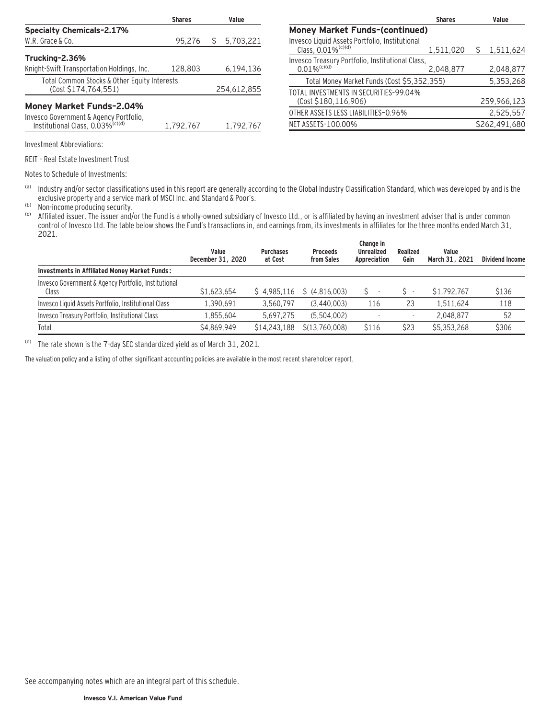|                                                                                        | <b>Shares</b> | Value |             |
|----------------------------------------------------------------------------------------|---------------|-------|-------------|
| <b>Specialty Chemicals-2.17%</b>                                                       |               |       |             |
| W.R. Grace & Co.                                                                       | 95,276        | Ŝ     | 5,703,221   |
| Trucking-2.36%                                                                         |               |       |             |
| Knight-Swift Transportation Holdings, Inc.                                             | 128,803       |       | 6,194,136   |
| Total Common Stocks & Other Equity Interests<br>(Cost \$174,764,551)                   |               |       | 254,612,855 |
| <b>Money Market Funds-2.04%</b>                                                        |               |       |             |
| Invesco Government & Agency Portfolio,<br>Institutional Class, 0.03% <sup>(c)(d)</sup> | 1.792.767     |       | 1.792.767   |

| <b>Shares</b>                                                                    |           | Value |               |  |  |  |
|----------------------------------------------------------------------------------|-----------|-------|---------------|--|--|--|
| <b>Money Market Funds-(continued)</b>                                            |           |       |               |  |  |  |
| Invesco Liquid Assets Portfolio, Institutional<br>Class, 0.01% <sup>(c)(d)</sup> | 1,511,020 | S     | 1,511,624     |  |  |  |
| Invesco Treasury Portfolio, Institutional Class,<br>$0.01\%$ <sup>(c)(d)</sup>   | 2,048,877 |       | 2,048,877     |  |  |  |
| Total Money Market Funds (Cost \$5,352,355)                                      |           |       | 5,353,268     |  |  |  |
| TOTAL INVESTMENTS IN SECURITIES-99.04%<br>(Cost \$180,116,906)                   |           |       | 259,966,123   |  |  |  |
| OTHER ASSETS LESS LIABILITIES-0.96%                                              |           |       | 2,525,557     |  |  |  |
| NET ASSETS-100.00%                                                               |           |       | \$262.491.680 |  |  |  |

Investment Abbreviations:

REIT – Real Estate Investment Trust

Notes to Schedule of Investments:

(a) Industry and/or sector classifications used in this report are generally according to the Global Industry Classification Standard, which was developed by and is the exclusive property and a service mark of MSCI Inc. and Standard & Poor's.

(b) Non-income producing security.<br>(c) Affiliated issuer. The issuer and/

Affiliated issuer. The issuer and/or the Fund is a wholly-owned subsidiary of Invesco Ltd., or is affiliated by having an investment adviser that is under common control of Invesco Ltd. The table below shows the Fund's transactions in, and earnings from, its investments in affiliates for the three months ended March 31, 2021.

|                                                               | Value<br>December 31, 2020 | <b>Purchases</b><br>at Cost | <b>Proceeds</b><br>from Sales | Change in<br><b>Unrealized</b><br>Appreciation | Realized<br>Gain | Value<br>March 31, 2021 | <b>Dividend Income</b> |
|---------------------------------------------------------------|----------------------------|-----------------------------|-------------------------------|------------------------------------------------|------------------|-------------------------|------------------------|
| <b>Investments in Affiliated Money Market Funds:</b>          |                            |                             |                               |                                                |                  |                         |                        |
| Invesco Government & Agency Portfolio, Institutional<br>Class | \$1,623,654                | \$4.985.116                 | \$(4.816.003)                 | $\overline{\phantom{a}}$                       |                  | \$1,792,767             | \$136                  |
| Invesco Liquid Assets Portfolio, Institutional Class          | 1.390.691                  | 3.560.797                   | (3,440,003)                   | 116                                            | 23               | 1.511.624               | 118                    |
| Invesco Treasury Portfolio, Institutional Class               | 1,855,604                  | 5.697.275                   | (5.504.002)                   |                                                | ٠                | 2.048.877               | 52                     |
| Total                                                         | \$4.869.949                | \$14,243,188                | \$(13.760.008)                | \$116                                          | \$23             | \$5,353,268             | \$306                  |

(d) The rate shown is the 7-day SEC standardized yield as of March 31, 2021.

The valuation policy and a listing of other significant accounting policies are available in the most recent shareholder report.